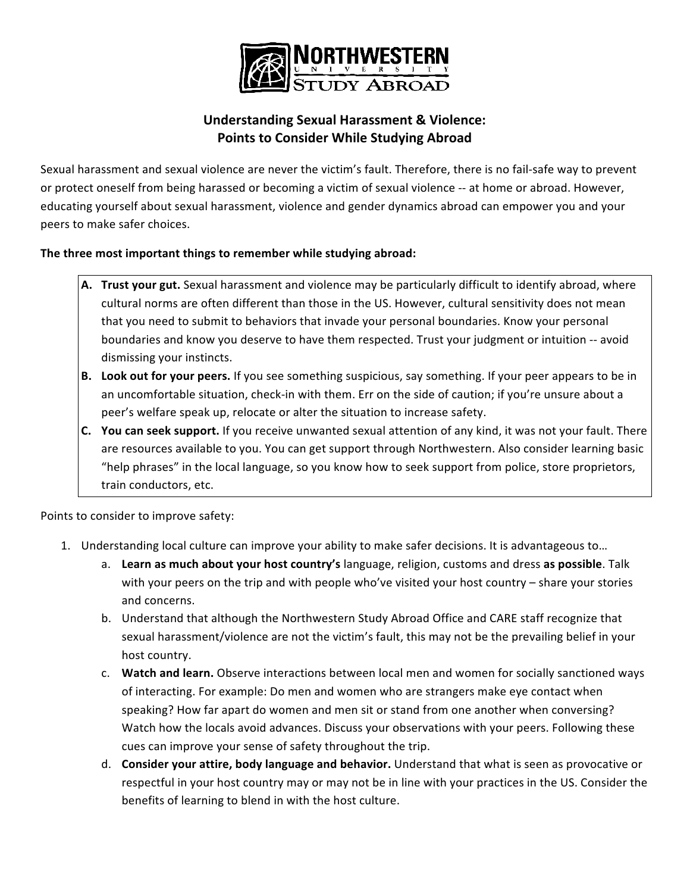

## **Understanding Sexual Harassment & Violence: Points to Consider While Studying Abroad**

Sexual harassment and sexual violence are never the victim's fault. Therefore, there is no fail-safe way to prevent or protect oneself from being harassed or becoming a victim of sexual violence -- at home or abroad. However, educating yourself about sexual harassment, violence and gender dynamics abroad can empower you and your peers to make safer choices.

## **The three most important things to remember while studying abroad:**

- A. **Trust your gut.** Sexual harassment and violence may be particularly difficult to identify abroad, where cultural norms are often different than those in the US. However, cultural sensitivity does not mean that you need to submit to behaviors that invade your personal boundaries. Know your personal boundaries and know you deserve to have them respected. Trust your judgment or intuition -- avoid dismissing your instincts.
- **B.** Look out for your peers. If you see something suspicious, say something. If your peer appears to be in an uncomfortable situation, check-in with them. Err on the side of caution; if you're unsure about a peer's welfare speak up, relocate or alter the situation to increase safety.
- **C.** You can seek support. If you receive unwanted sexual attention of any kind, it was not your fault. There are resources available to you. You can get support through Northwestern. Also consider learning basic "help phrases" in the local language, so you know how to seek support from police, store proprietors, train conductors, etc.

Points to consider to improve safety:

- 1. Understanding local culture can improve your ability to make safer decisions. It is advantageous to...
	- a. Learn as much about your host country's language, religion, customs and dress as possible. Talk with your peers on the trip and with people who've visited your host country – share your stories and concerns.
	- b. Understand that although the Northwestern Study Abroad Office and CARE staff recognize that sexual harassment/violence are not the victim's fault, this may not be the prevailing belief in your host country.
	- c. Watch and learn. Observe interactions between local men and women for socially sanctioned ways of interacting. For example: Do men and women who are strangers make eye contact when speaking? How far apart do women and men sit or stand from one another when conversing? Watch how the locals avoid advances. Discuss your observations with your peers. Following these cues can improve your sense of safety throughout the trip.
	- d. **Consider your attire, body language and behavior.** Understand that what is seen as provocative or respectful in your host country may or may not be in line with your practices in the US. Consider the benefits of learning to blend in with the host culture.